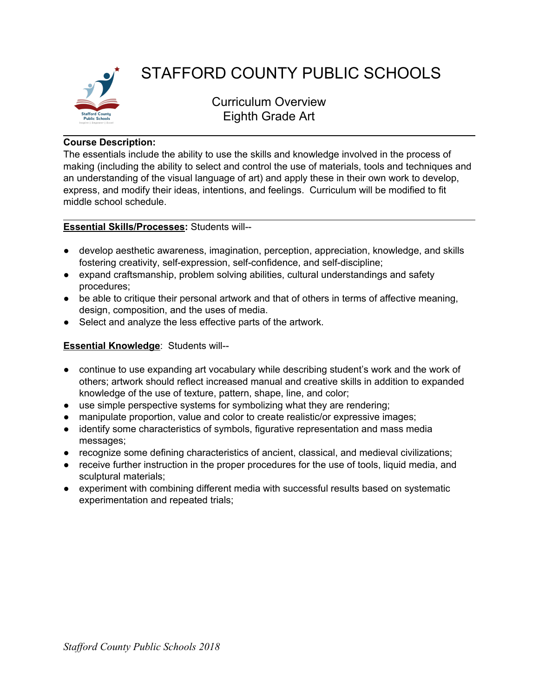

# STAFFORD COUNTY PUBLIC SCHOOLS

Curriculum Overview Eighth Grade Art

### **Course Description:**

The essentials include the ability to use the skills and knowledge involved in the process of making (including the ability to select and control the use of materials, tools and techniques and an understanding of the visual language of art) and apply these in their own work to develop, express, and modify their ideas, intentions, and feelings. Curriculum will be modified to fit middle school schedule.

## **Essential Skills/Processes:** Students will--

- develop aesthetic awareness, imagination, perception, appreciation, knowledge, and skills fostering creativity, self-expression, self-confidence, and self-discipline;
- expand craftsmanship, problem solving abilities, cultural understandings and safety procedures;
- be able to critique their personal artwork and that of others in terms of affective meaning, design, composition, and the uses of media.
- Select and analyze the less effective parts of the artwork.

## **Essential Knowledge**: Students will--

- continue to use expanding art vocabulary while describing student's work and the work of others; artwork should reflect increased manual and creative skills in addition to expanded knowledge of the use of texture, pattern, shape, line, and color;
- use simple perspective systems for symbolizing what they are rendering;
- manipulate proportion, value and color to create realistic/or expressive images;
- identify some characteristics of symbols, figurative representation and mass media messages;
- recognize some defining characteristics of ancient, classical, and medieval civilizations;
- receive further instruction in the proper procedures for the use of tools, liquid media, and sculptural materials;
- experiment with combining different media with successful results based on systematic experimentation and repeated trials;